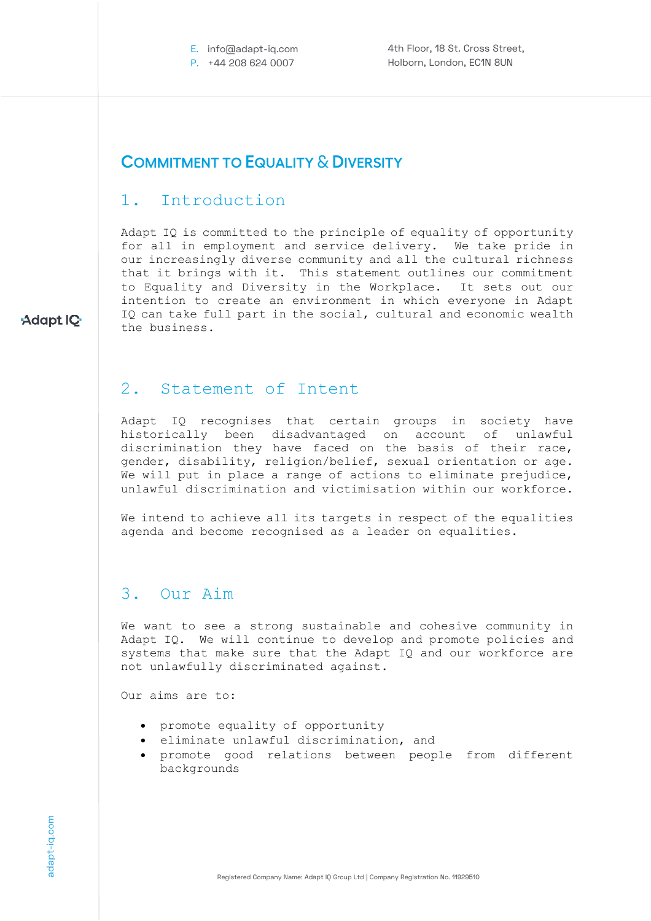E. info@adapt-iq.com P. +44 208 624 0007

4th Floor, 18 St. Cross Street, Holborn, London, EC1N 8UN

### **COMMITMENT TO EQUALITY** & **DIVERSITY**

## 1. Introduction

Adapt IQ is committed to the principle of equality of opportunity for all in employment and service delivery. We take pride in our increasingly diverse community and all the cultural richness that it brings with it. This statement outlines our commitment to Equality and Diversity in the Workplace. It sets out our intention to create an environment in which everyone in Adapt IQ can take full part in the social, cultural and economic wealth the business.

### 2. Statement of Intent

Adapt IQ recognises that certain groups in society have historically been disadvantaged on account of unlawful discrimination they have faced on the basis of their race, gender, disability, religion/belief, sexual orientation or age. We will put in place a range of actions to eliminate prejudice, unlawful discrimination and victimisation within our workforce.

We intend to achieve all its targets in respect of the equalities agenda and become recognised as a leader on equalities.

### 3. Our Aim

We want to see a strong sustainable and cohesive community in Adapt IQ. We will continue to develop and promote policies and systems that make sure that the Adapt IQ and our workforce are not unlawfully discriminated against.

Our aims are to:

- promote equality of opportunity
- eliminate unlawful discrimination, and
- promote good relations between people from different backgrounds

Adapt IQ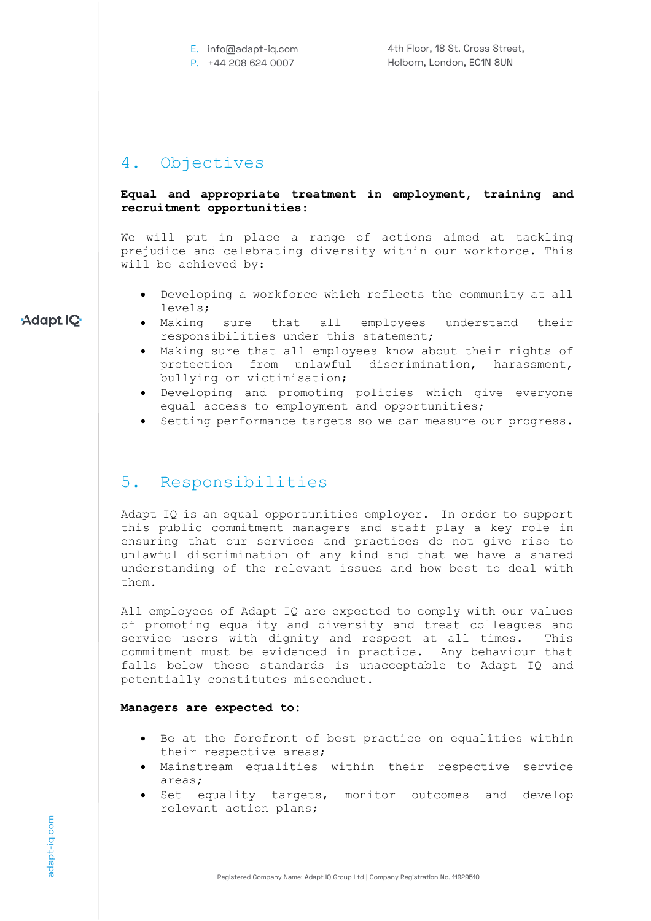## 4. Objectives

#### **Equal and appropriate treatment in employment, training and recruitment opportunities:**

We will put in place a range of actions aimed at tackling prejudice and celebrating diversity within our workforce. This will be achieved by:

- Developing a workforce which reflects the community at all levels;
- Making sure that all employees understand their responsibilities under this statement;
- Making sure that all employees know about their rights of protection from unlawful discrimination, harassment, bullying or victimisation;
- Developing and promoting policies which give everyone equal access to employment and opportunities;
- Setting performance targets so we can measure our progress.

### 5. Responsibilities

Adapt IQ is an equal opportunities employer. In order to support this public commitment managers and staff play a key role in ensuring that our services and practices do not give rise to unlawful discrimination of any kind and that we have a shared understanding of the relevant issues and how best to deal with them.

All employees of Adapt IQ are expected to comply with our values of promoting equality and diversity and treat colleagues and service users with dignity and respect at all times. This commitment must be evidenced in practice. Any behaviour that falls below these standards is unacceptable to Adapt IQ and potentially constitutes misconduct.

#### **Managers are expected to:**

- Be at the forefront of best practice on equalities within their respective areas;
- Mainstream equalities within their respective service areas;
- Set equality targets, monitor outcomes and develop relevant action plans;

### Adapt IQ